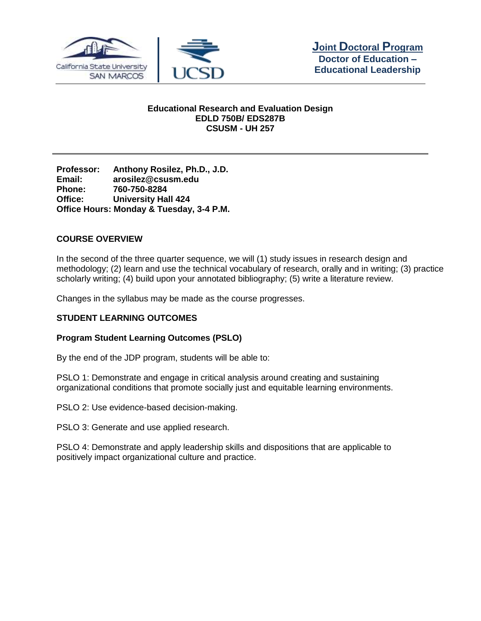



## **Educational Research and Evaluation Design EDLD 750B/ EDS287B CSUSM - UH 257**

**Professor: Anthony Rosilez, Ph.D., J.D. Email: arosilez@csusm.edu Phone: 760-750-8284 Office: University Hall 424 Office Hours: Monday & Tuesday, 3-4 P.M.**

## **COURSE OVERVIEW**

In the second of the three quarter sequence, we will (1) study issues in research design and methodology; (2) learn and use the technical vocabulary of research, orally and in writing; (3) practice scholarly writing; (4) build upon your annotated bibliography; (5) write a literature review.

Changes in the syllabus may be made as the course progresses.

## **STUDENT LEARNING OUTCOMES**

## **Program Student Learning Outcomes (PSLO)**

By the end of the JDP program, students will be able to:

PSLO 1: Demonstrate and engage in critical analysis around creating and sustaining organizational conditions that promote socially just and equitable learning environments.

PSLO 2: Use evidence-based decision-making.

PSLO 3: Generate and use applied research.

PSLO 4: Demonstrate and apply leadership skills and dispositions that are applicable to positively impact organizational culture and practice.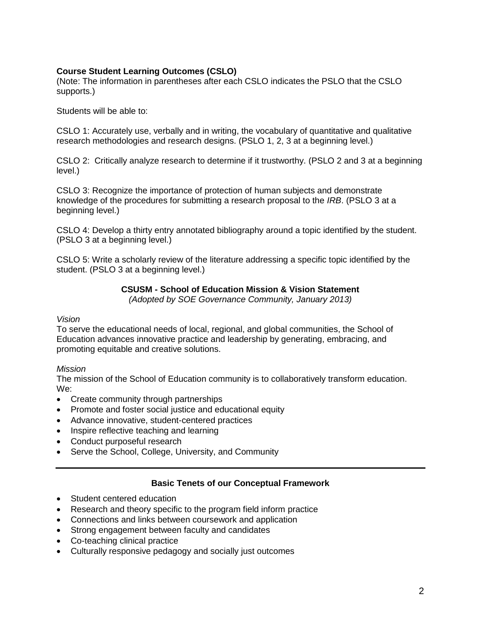## **Course Student Learning Outcomes (CSLO)**

(Note: The information in parentheses after each CSLO indicates the PSLO that the CSLO supports.)

Students will be able to:

CSLO 1: Accurately use, verbally and in writing, the vocabulary of quantitative and qualitative research methodologies and research designs. (PSLO 1, 2, 3 at a beginning level.)

CSLO 2: Critically analyze research to determine if it trustworthy. (PSLO 2 and 3 at a beginning level.)

CSLO 3: Recognize the importance of protection of human subjects and demonstrate knowledge of the procedures for submitting a research proposal to the *IRB*. (PSLO 3 at a beginning level.)

CSLO 4: Develop a thirty entry annotated bibliography around a topic identified by the student. (PSLO 3 at a beginning level.)

CSLO 5: Write a scholarly review of the literature addressing a specific topic identified by the student. (PSLO 3 at a beginning level.)

## **CSUSM - School of Education Mission & Vision Statement**

*(Adopted by SOE Governance Community, January 2013)*

#### *Vision*

To serve the educational needs of local, regional, and global communities, the School of Education advances innovative practice and leadership by generating, embracing, and promoting equitable and creative solutions.

## *Mission*

The mission of the School of Education community is to collaboratively transform education. We:

- Create community through partnerships
- Promote and foster social justice and educational equity
- Advance innovative, student-centered practices
- Inspire reflective teaching and learning
- Conduct purposeful research
- Serve the School, College, University, and Community

## **Basic Tenets of our Conceptual Framework**

- Student centered education
- Research and theory specific to the program field inform practice
- Connections and links between coursework and application
- Strong engagement between faculty and candidates
- Co-teaching clinical practice
- Culturally responsive pedagogy and socially just outcomes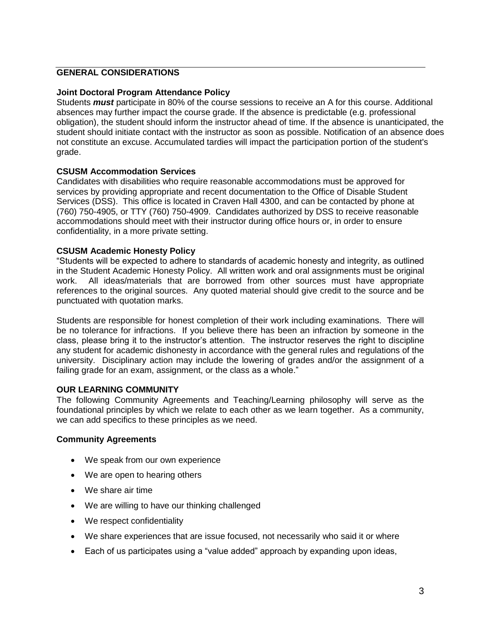### **GENERAL CONSIDERATIONS**

#### **Joint Doctoral Program Attendance Policy**

Students *must* participate in 80% of the course sessions to receive an A for this course. Additional absences may further impact the course grade. If the absence is predictable (e.g. professional obligation), the student should inform the instructor ahead of time. If the absence is unanticipated, the student should initiate contact with the instructor as soon as possible. Notification of an absence does not constitute an excuse. Accumulated tardies will impact the participation portion of the student's grade.

#### **CSUSM Accommodation Services**

Candidates with disabilities who require reasonable accommodations must be approved for services by providing appropriate and recent documentation to the Office of Disable Student Services (DSS). This office is located in Craven Hall 4300, and can be contacted by phone at (760) 750-4905, or TTY (760) 750-4909. Candidates authorized by DSS to receive reasonable accommodations should meet with their instructor during office hours or, in order to ensure confidentiality, in a more private setting.

#### **CSUSM Academic Honesty Policy**

"Students will be expected to adhere to standards of academic honesty and integrity, as outlined in the Student Academic Honesty Policy. All written work and oral assignments must be original work. All ideas/materials that are borrowed from other sources must have appropriate references to the original sources. Any quoted material should give credit to the source and be punctuated with quotation marks.

Students are responsible for honest completion of their work including examinations. There will be no tolerance for infractions. If you believe there has been an infraction by someone in the class, please bring it to the instructor's attention. The instructor reserves the right to discipline any student for academic dishonesty in accordance with the general rules and regulations of the university. Disciplinary action may include the lowering of grades and/or the assignment of a failing grade for an exam, assignment, or the class as a whole."

#### **OUR LEARNING COMMUNITY**

The following Community Agreements and Teaching/Learning philosophy will serve as the foundational principles by which we relate to each other as we learn together. As a community, we can add specifics to these principles as we need.

#### **Community Agreements**

- We speak from our own experience
- We are open to hearing others
- We share air time
- We are willing to have our thinking challenged
- We respect confidentiality
- We share experiences that are issue focused, not necessarily who said it or where
- Each of us participates using a "value added" approach by expanding upon ideas,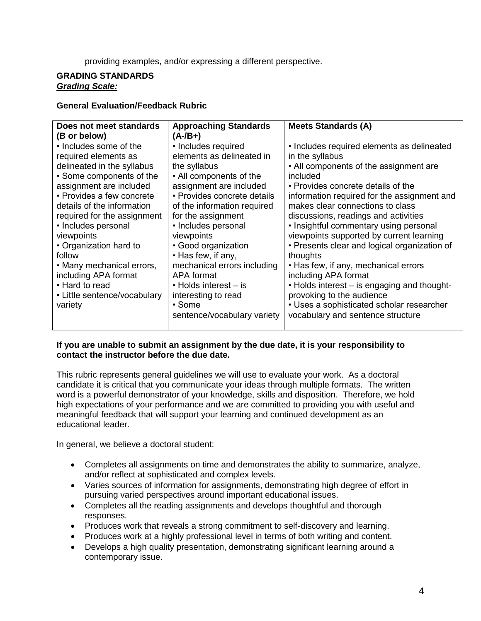providing examples, and/or expressing a different perspective.

## **GRADING STANDARDS** *Grading Scale:*

## **General Evaluation/Feedback Rubric**

| Does not meet standards<br>(B or below)                                                                                                                                                                                                                                                                                                                     | <b>Approaching Standards</b><br>(A-/B+)                                                                                                                                                                                                                                                                                                   | <b>Meets Standards (A)</b>                                                                                                                                                                                                                                                                                                                                                                                                                                                                             |
|-------------------------------------------------------------------------------------------------------------------------------------------------------------------------------------------------------------------------------------------------------------------------------------------------------------------------------------------------------------|-------------------------------------------------------------------------------------------------------------------------------------------------------------------------------------------------------------------------------------------------------------------------------------------------------------------------------------------|--------------------------------------------------------------------------------------------------------------------------------------------------------------------------------------------------------------------------------------------------------------------------------------------------------------------------------------------------------------------------------------------------------------------------------------------------------------------------------------------------------|
| • Includes some of the<br>required elements as<br>delineated in the syllabus<br>• Some components of the<br>assignment are included<br>• Provides a few concrete<br>details of the information<br>required for the assignment<br>• Includes personal<br>viewpoints<br>• Organization hard to<br>follow<br>• Many mechanical errors,<br>including APA format | • Includes required<br>elements as delineated in<br>the syllabus<br>• All components of the<br>assignment are included<br>• Provides concrete details<br>of the information required<br>for the assignment<br>• Includes personal<br>viewpoints<br>• Good organization<br>• Has few, if any,<br>mechanical errors including<br>APA format | • Includes required elements as delineated<br>in the syllabus<br>• All components of the assignment are<br>included<br>• Provides concrete details of the<br>information required for the assignment and<br>makes clear connections to class<br>discussions, readings and activities<br>• Insightful commentary using personal<br>viewpoints supported by current learning<br>• Presents clear and logical organization of<br>thoughts<br>• Has few, if any, mechanical errors<br>including APA format |
| • Hard to read<br>• Little sentence/vocabulary<br>variety                                                                                                                                                                                                                                                                                                   | • Holds interest – is<br>interesting to read<br>$\cdot$ Some<br>sentence/vocabulary variety                                                                                                                                                                                                                                               | . Holds interest - is engaging and thought-<br>provoking to the audience<br>• Uses a sophisticated scholar researcher<br>vocabulary and sentence structure                                                                                                                                                                                                                                                                                                                                             |

## **If you are unable to submit an assignment by the due date, it is your responsibility to contact the instructor before the due date.**

This rubric represents general guidelines we will use to evaluate your work. As a doctoral candidate it is critical that you communicate your ideas through multiple formats. The written word is a powerful demonstrator of your knowledge, skills and disposition. Therefore, we hold high expectations of your performance and we are committed to providing you with useful and meaningful feedback that will support your learning and continued development as an educational leader.

In general, we believe a doctoral student:

- Completes all assignments on time and demonstrates the ability to summarize, analyze, and/or reflect at sophisticated and complex levels.
- Varies sources of information for assignments, demonstrating high degree of effort in pursuing varied perspectives around important educational issues.
- Completes all the reading assignments and develops thoughtful and thorough responses.
- Produces work that reveals a strong commitment to self-discovery and learning.
- Produces work at a highly professional level in terms of both writing and content.
- Develops a high quality presentation, demonstrating significant learning around a contemporary issue.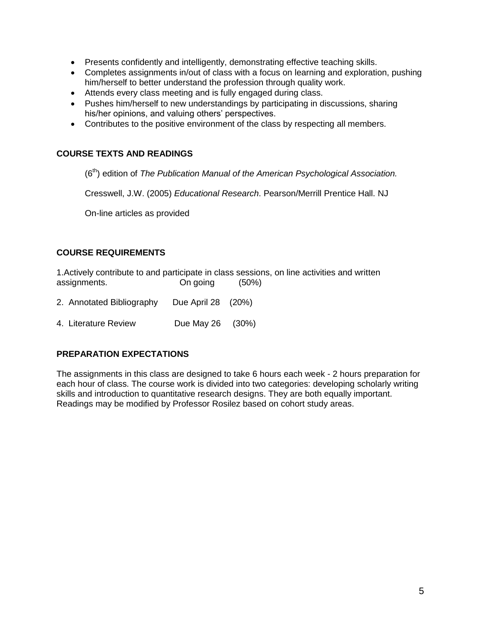- Presents confidently and intelligently, demonstrating effective teaching skills.
- Completes assignments in/out of class with a focus on learning and exploration, pushing him/herself to better understand the profession through quality work.
- Attends every class meeting and is fully engaged during class.
- Pushes him/herself to new understandings by participating in discussions, sharing his/her opinions, and valuing others' perspectives.
- Contributes to the positive environment of the class by respecting all members.

## **COURSE TEXTS AND READINGS**

(6th) edition of *The Publication Manual of the American Psychological Association.*

Cresswell, J.W. (2005) *Educational Research*. Pearson/Merrill Prentice Hall. NJ

On-line articles as provided

## **COURSE REQUIREMENTS**

1.Actively contribute to and participate in class sessions, on line activities and written assignments. On going (50%)

- 2. Annotated Bibliography Due April 28 (20%)
- 4. Literature Review Due May 26 (30%)

## **PREPARATION EXPECTATIONS**

The assignments in this class are designed to take 6 hours each week - 2 hours preparation for each hour of class. The course work is divided into two categories: developing scholarly writing skills and introduction to quantitative research designs. They are both equally important. Readings may be modified by Professor Rosilez based on cohort study areas.